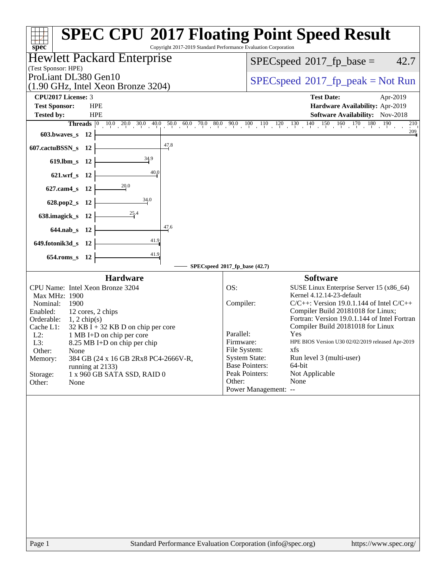| Copyright 2017-2019 Standard Performance Evaluation Corporation                                                                                                                                                                                                                                                                                                                                                                 | <b>SPEC CPU®2017 Floating Point Speed Result</b>                                                                                                                                                                                                                                                                                                                                                                                                                                                                                                        |
|---------------------------------------------------------------------------------------------------------------------------------------------------------------------------------------------------------------------------------------------------------------------------------------------------------------------------------------------------------------------------------------------------------------------------------|---------------------------------------------------------------------------------------------------------------------------------------------------------------------------------------------------------------------------------------------------------------------------------------------------------------------------------------------------------------------------------------------------------------------------------------------------------------------------------------------------------------------------------------------------------|
| spec <sup>®</sup><br><b>Hewlett Packard Enterprise</b>                                                                                                                                                                                                                                                                                                                                                                          | 42.7<br>$SPEC speed^{\circ}2017\_fp\_base =$                                                                                                                                                                                                                                                                                                                                                                                                                                                                                                            |
| (Test Sponsor: HPE)<br>ProLiant DL380 Gen10<br>$(1.90 \text{ GHz}, \text{Intel Xeon Bronze } 3204)$                                                                                                                                                                                                                                                                                                                             | $SPEC speed^{\circ}2017\_fp\_peak = Not Run$                                                                                                                                                                                                                                                                                                                                                                                                                                                                                                            |
| CPU2017 License: 3<br><b>Test Sponsor:</b><br><b>HPE</b><br><b>Tested by:</b><br><b>HPE</b>                                                                                                                                                                                                                                                                                                                                     | <b>Test Date:</b><br>Apr-2019<br>Hardware Availability: Apr-2019<br>Software Availability: Nov-2018<br>210<br>209                                                                                                                                                                                                                                                                                                                                                                                                                                       |
| 603.bwaves_s 12<br>47.8                                                                                                                                                                                                                                                                                                                                                                                                         |                                                                                                                                                                                                                                                                                                                                                                                                                                                                                                                                                         |
| 607.cactuBSSN_s 12<br>34.9<br>$619$ .lbm_s<br>- 12                                                                                                                                                                                                                                                                                                                                                                              |                                                                                                                                                                                                                                                                                                                                                                                                                                                                                                                                                         |
| 40,0<br>621.wrf_s 12                                                                                                                                                                                                                                                                                                                                                                                                            |                                                                                                                                                                                                                                                                                                                                                                                                                                                                                                                                                         |
| 20.0<br>$627$ .cam $4_s$<br>- 12                                                                                                                                                                                                                                                                                                                                                                                                |                                                                                                                                                                                                                                                                                                                                                                                                                                                                                                                                                         |
| 34.0<br>628.pop2_s<br>- 12                                                                                                                                                                                                                                                                                                                                                                                                      |                                                                                                                                                                                                                                                                                                                                                                                                                                                                                                                                                         |
| 638.imagick_s<br>- 12                                                                                                                                                                                                                                                                                                                                                                                                           |                                                                                                                                                                                                                                                                                                                                                                                                                                                                                                                                                         |
| 47.6<br>644.nab_s 12                                                                                                                                                                                                                                                                                                                                                                                                            |                                                                                                                                                                                                                                                                                                                                                                                                                                                                                                                                                         |
| 41.9<br>649.fotonik3d_s 12                                                                                                                                                                                                                                                                                                                                                                                                      |                                                                                                                                                                                                                                                                                                                                                                                                                                                                                                                                                         |
| 41.9<br>$654$ .roms_s<br>- 12                                                                                                                                                                                                                                                                                                                                                                                                   | SPECspeed®2017_fp_base (42.7)                                                                                                                                                                                                                                                                                                                                                                                                                                                                                                                           |
| <b>Hardware</b>                                                                                                                                                                                                                                                                                                                                                                                                                 | <b>Software</b>                                                                                                                                                                                                                                                                                                                                                                                                                                                                                                                                         |
| CPU Name: Intel Xeon Bronze 3204<br>Max MHz: 1900<br>1900<br>Nominal:<br>Enabled:<br>12 cores, 2 chips<br>Orderable:<br>$1, 2$ chip(s)<br>Cache L1:<br>$32$ KB I + 32 KB D on chip per core<br>$L2$ :<br>1 MB I+D on chip per core<br>L3:<br>8.25 MB I+D on chip per chip<br>Other:<br>None<br>Memory:<br>384 GB (24 x 16 GB 2Rx8 PC4-2666V-R,<br>running at 2133)<br>1 x 960 GB SATA SSD, RAID 0<br>Storage:<br>Other:<br>None | OS:<br>SUSE Linux Enterprise Server 15 (x86_64)<br>Kernel 4.12.14-23-default<br>Compiler:<br>$C/C++$ : Version 19.0.1.144 of Intel $C/C++$<br>Compiler Build 20181018 for Linux;<br>Fortran: Version 19.0.1.144 of Intel Fortran<br>Compiler Build 20181018 for Linux<br>Parallel:<br>Yes<br>HPE BIOS Version U30 02/02/2019 released Apr-2019<br>Firmware:<br>File System:<br>xts<br><b>System State:</b><br>Run level 3 (multi-user)<br><b>Base Pointers:</b><br>64-bit<br>Peak Pointers:<br>Not Applicable<br>Other:<br>None<br>Power Management: -- |
| Standard Performance Evaluation Corporation (info@spec.org)<br>Page 1                                                                                                                                                                                                                                                                                                                                                           | https://www.spec.org/                                                                                                                                                                                                                                                                                                                                                                                                                                                                                                                                   |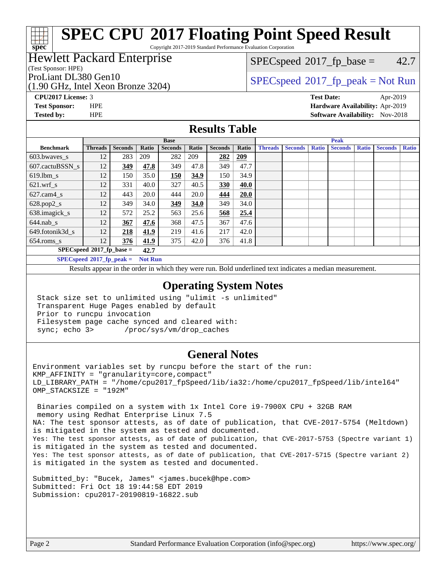Copyright 2017-2019 Standard Performance Evaluation Corporation

### Hewlett Packard Enterprise

#### (Test Sponsor: HPE)

(1.90 GHz, Intel Xeon Bronze 3204)

 $SPECspeed^{\circledcirc}2017_fp\_base = 42.7$  $SPECspeed^{\circledcirc}2017_fp\_base = 42.7$ 

## ProLiant DL380 Gen10<br>(1.00 GHz, Intel Year Proper 2204) [SPECspeed](http://www.spec.org/auto/cpu2017/Docs/result-fields.html#SPECspeed2017fppeak)<sup>®</sup>[2017\\_fp\\_peak = N](http://www.spec.org/auto/cpu2017/Docs/result-fields.html#SPECspeed2017fppeak)ot Run

**[spec](http://www.spec.org/)**

**[CPU2017 License:](http://www.spec.org/auto/cpu2017/Docs/result-fields.html#CPU2017License)** 3 **[Test Date:](http://www.spec.org/auto/cpu2017/Docs/result-fields.html#TestDate)** Apr-2019

**[Test Sponsor:](http://www.spec.org/auto/cpu2017/Docs/result-fields.html#TestSponsor)** HPE **[Hardware Availability:](http://www.spec.org/auto/cpu2017/Docs/result-fields.html#HardwareAvailability)** Apr-2019 **[Tested by:](http://www.spec.org/auto/cpu2017/Docs/result-fields.html#Testedby)** HPE **HPE [Software Availability:](http://www.spec.org/auto/cpu2017/Docs/result-fields.html#SoftwareAvailability)** Nov-2018

#### **[Results Table](http://www.spec.org/auto/cpu2017/Docs/result-fields.html#ResultsTable)**

|                                                                                                           | <b>Base</b>    |                |       |                |       |                | <b>Peak</b> |                |                |              |                |              |                |              |
|-----------------------------------------------------------------------------------------------------------|----------------|----------------|-------|----------------|-------|----------------|-------------|----------------|----------------|--------------|----------------|--------------|----------------|--------------|
| <b>Benchmark</b>                                                                                          | <b>Threads</b> | <b>Seconds</b> | Ratio | <b>Seconds</b> | Ratio | <b>Seconds</b> | Ratio       | <b>Threads</b> | <b>Seconds</b> | <b>Ratio</b> | <b>Seconds</b> | <b>Ratio</b> | <b>Seconds</b> | <b>Ratio</b> |
| 603.bwayes_s                                                                                              | 12             | 283            | 209   | 282            | 209   | 282            | 209         |                |                |              |                |              |                |              |
| 607.cactuBSSN s                                                                                           | 12             | 349            | 47.8  | 349            | 47.8  | 349            | 47.7        |                |                |              |                |              |                |              |
| $619.$ lbm s                                                                                              | 12             | 150            | 35.0  | 150            | 34.9  | 150            | 34.9        |                |                |              |                |              |                |              |
| $621$ .wrf s                                                                                              | 12             | 331            | 40.0  | 327            | 40.5  | 330            | 40.0        |                |                |              |                |              |                |              |
| $627$ .cam $4$ <sub>-S</sub>                                                                              | 12             | 443            | 20.0  | 444            | 20.0  | 444            | 20.0        |                |                |              |                |              |                |              |
| $628.pop2_s$                                                                                              | 12             | 349            | 34.0  | 349            | 34.0  | 349            | 34.0        |                |                |              |                |              |                |              |
| 638.imagick_s                                                                                             | 12             | 572            | 25.2  | 563            | 25.6  | 568            | 25.4        |                |                |              |                |              |                |              |
| $644$ .nab s                                                                                              | 12             | 367            | 47.6  | 368            | 47.5  | 367            | 47.6        |                |                |              |                |              |                |              |
| 649.fotonik3d s                                                                                           | 12             | 218            | 41.9  | 219            | 41.6  | 217            | 42.0        |                |                |              |                |              |                |              |
| $654$ .roms s                                                                                             | 12             | 376            | 41.9  | 375            | 42.0  | 376            | 41.8        |                |                |              |                |              |                |              |
| $SPECspeed*2017_fp\_base =$<br>42.7                                                                       |                |                |       |                |       |                |             |                |                |              |                |              |                |              |
| $CDF_{\ell m}$ and $J\otimes \Lambda \otimes I$ $\mathbb{R}$ and $\mathbb{R}$ and $\mathbb{R}$<br>Mat Dam |                |                |       |                |       |                |             |                |                |              |                |              |                |              |

**[SPECspeed](http://www.spec.org/auto/cpu2017/Docs/result-fields.html#SPECspeed2017fppeak)[2017\\_fp\\_peak =](http://www.spec.org/auto/cpu2017/Docs/result-fields.html#SPECspeed2017fppeak) Not Run**

Results appear in the [order in which they were run.](http://www.spec.org/auto/cpu2017/Docs/result-fields.html#RunOrder) Bold underlined text [indicates a median measurement](http://www.spec.org/auto/cpu2017/Docs/result-fields.html#Median).

#### **[Operating System Notes](http://www.spec.org/auto/cpu2017/Docs/result-fields.html#OperatingSystemNotes)**

 Stack size set to unlimited using "ulimit -s unlimited" Transparent Huge Pages enabled by default Prior to runcpu invocation Filesystem page cache synced and cleared with: sync; echo 3> /proc/sys/vm/drop\_caches

#### **[General Notes](http://www.spec.org/auto/cpu2017/Docs/result-fields.html#GeneralNotes)**

Environment variables set by runcpu before the start of the run: KMP\_AFFINITY = "granularity=core,compact" LD\_LIBRARY\_PATH = "/home/cpu2017\_fpSpeed/lib/ia32:/home/cpu2017\_fpSpeed/lib/intel64" OMP\_STACKSIZE = "192M"

 Binaries compiled on a system with 1x Intel Core i9-7900X CPU + 32GB RAM memory using Redhat Enterprise Linux 7.5 NA: The test sponsor attests, as of date of publication, that CVE-2017-5754 (Meltdown) is mitigated in the system as tested and documented. Yes: The test sponsor attests, as of date of publication, that CVE-2017-5753 (Spectre variant 1) is mitigated in the system as tested and documented. Yes: The test sponsor attests, as of date of publication, that CVE-2017-5715 (Spectre variant 2) is mitigated in the system as tested and documented.

Submitted\_by: "Bucek, James" <james.bucek@hpe.com> Submitted: Fri Oct 18 19:44:58 EDT 2019 Submission: cpu2017-20190819-16822.sub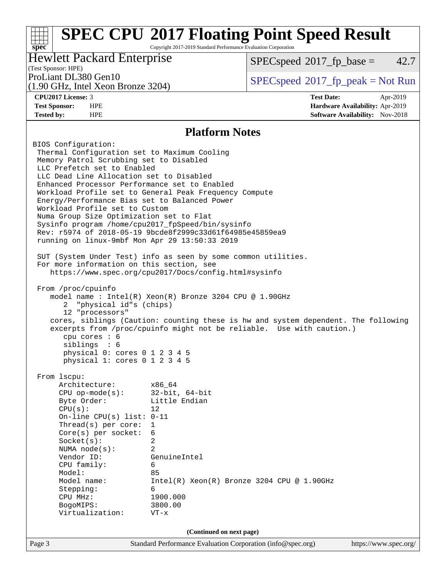Copyright 2017-2019 Standard Performance Evaluation Corporation

### Hewlett Packard Enterprise

 $SPECspeed^{\circ}2017\_fp\_base = 42.7$  $SPECspeed^{\circ}2017\_fp\_base = 42.7$ 

## (Test Sponsor: HPE)

(1.90 GHz, Intel Xeon Bronze 3204)

**[spec](http://www.spec.org/)**

**[Tested by:](http://www.spec.org/auto/cpu2017/Docs/result-fields.html#Testedby)** HPE **[Software Availability:](http://www.spec.org/auto/cpu2017/Docs/result-fields.html#SoftwareAvailability)** Nov-2018

ProLiant DL380 Gen10  $SPECspeed^{\circ}2017\_fp\_peak = Not Run$  $SPECspeed^{\circ}2017\_fp\_peak = Not Run$ 

**[CPU2017 License:](http://www.spec.org/auto/cpu2017/Docs/result-fields.html#CPU2017License)** 3 **[Test Date:](http://www.spec.org/auto/cpu2017/Docs/result-fields.html#TestDate)** Apr-2019 **[Test Sponsor:](http://www.spec.org/auto/cpu2017/Docs/result-fields.html#TestSponsor)** HPE **[Hardware Availability:](http://www.spec.org/auto/cpu2017/Docs/result-fields.html#HardwareAvailability)** Apr-2019

#### **[Platform Notes](http://www.spec.org/auto/cpu2017/Docs/result-fields.html#PlatformNotes)**

Page 3 Standard Performance Evaluation Corporation [\(info@spec.org\)](mailto:info@spec.org) <https://www.spec.org/> BIOS Configuration: Thermal Configuration set to Maximum Cooling Memory Patrol Scrubbing set to Disabled LLC Prefetch set to Enabled LLC Dead Line Allocation set to Disabled Enhanced Processor Performance set to Enabled Workload Profile set to General Peak Frequency Compute Energy/Performance Bias set to Balanced Power Workload Profile set to Custom Numa Group Size Optimization set to Flat Sysinfo program /home/cpu2017\_fpSpeed/bin/sysinfo Rev: r5974 of 2018-05-19 9bcde8f2999c33d61f64985e45859ea9 running on linux-9mbf Mon Apr 29 13:50:33 2019 SUT (System Under Test) info as seen by some common utilities. For more information on this section, see <https://www.spec.org/cpu2017/Docs/config.html#sysinfo> From /proc/cpuinfo model name : Intel(R) Xeon(R) Bronze 3204 CPU @ 1.90GHz 2 "physical id"s (chips) 12 "processors" cores, siblings (Caution: counting these is hw and system dependent. The following excerpts from /proc/cpuinfo might not be reliable. Use with caution.) cpu cores : 6 siblings : 6 physical 0: cores 0 1 2 3 4 5 physical 1: cores 0 1 2 3 4 5 From lscpu: Architecture: x86\_64 CPU op-mode(s): 32-bit, 64-bit Byte Order: Little Endian  $CPU(s):$  12 On-line CPU(s) list: 0-11 Thread(s) per core: 1 Core(s) per socket: 6 Socket(s): 2 NUMA node(s): 2 Vendor ID: GenuineIntel CPU family: 6 Model: 85 Model name: Intel(R) Xeon(R) Bronze 3204 CPU @ 1.90GHz Stepping: 6 CPU MHz: 1900.000 BogoMIPS: 3800.00 Virtualization: VT-x **(Continued on next page)**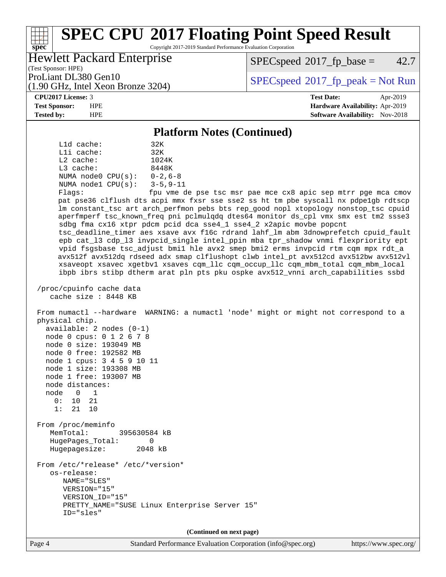Copyright 2017-2019 Standard Performance Evaluation Corporation

## Hewlett Packard Enterprise

 $SPECspeed^{\circ}2017_fp\_base = 42.7$  $SPECspeed^{\circ}2017_fp\_base = 42.7$ 

(Test Sponsor: HPE) (1.90 GHz, Intel Xeon Bronze 3204)

ProLiant DL380 Gen10<br>(1.90 GHz, Intel Xeon Bronze 3204) [SPECspeed](http://www.spec.org/auto/cpu2017/Docs/result-fields.html#SPECspeed2017fppeak)<sup>®</sup>[2017\\_fp\\_peak = N](http://www.spec.org/auto/cpu2017/Docs/result-fields.html#SPECspeed2017fppeak)ot Run

**[spec](http://www.spec.org/)**

**[CPU2017 License:](http://www.spec.org/auto/cpu2017/Docs/result-fields.html#CPU2017License)** 3 **[Test Date:](http://www.spec.org/auto/cpu2017/Docs/result-fields.html#TestDate)** Apr-2019 **[Test Sponsor:](http://www.spec.org/auto/cpu2017/Docs/result-fields.html#TestSponsor)** HPE **[Hardware Availability:](http://www.spec.org/auto/cpu2017/Docs/result-fields.html#HardwareAvailability)** Apr-2019 **[Tested by:](http://www.spec.org/auto/cpu2017/Docs/result-fields.html#Testedby)** HPE **HPE [Software Availability:](http://www.spec.org/auto/cpu2017/Docs/result-fields.html#SoftwareAvailability)** Nov-2018

#### **[Platform Notes \(Continued\)](http://www.spec.org/auto/cpu2017/Docs/result-fields.html#PlatformNotes)**

| Lld cache:<br>32K<br>Lli cache:<br>32K<br>L2 cache:<br>1024K<br>$L3$ cache:<br>8448K<br>NUMA node0 $CPU(s): 0-2, 6-8$<br>NUMA nodel $CPU(s): 3-5, 9-11$<br>Flags:<br>fpu vme de pse tsc msr pae mce cx8 apic sep mtrr pge mca cmov<br>pat pse36 clflush dts acpi mmx fxsr sse sse2 ss ht tm pbe syscall nx pdpelgb rdtscp<br>lm constant_tsc art arch_perfmon pebs bts rep_good nopl xtopology nonstop_tsc cpuid<br>aperfmperf tsc_known_freq pni pclmulqdq dtes64 monitor ds_cpl vmx smx est tm2 ssse3<br>sdbg fma cx16 xtpr pdcm pcid dca sse4_1 sse4_2 x2apic movbe popcnt<br>tsc_deadline_timer aes xsave avx f16c rdrand lahf_lm abm 3dnowprefetch cpuid_fault<br>epb cat_13 cdp_13 invpcid_single intel_ppin mba tpr_shadow vnmi flexpriority ept<br>vpid fsgsbase tsc_adjust bmil hle avx2 smep bmi2 erms invpcid rtm cqm mpx rdt_a<br>avx512f avx512dq rdseed adx smap clflushopt clwb intel_pt avx512cd avx512bw avx512vl<br>xsaveopt xsavec xgetbvl xsaves cqm_llc cqm_occup_llc cqm_mbm_total cqm_mbm_local |
|------------------------------------------------------------------------------------------------------------------------------------------------------------------------------------------------------------------------------------------------------------------------------------------------------------------------------------------------------------------------------------------------------------------------------------------------------------------------------------------------------------------------------------------------------------------------------------------------------------------------------------------------------------------------------------------------------------------------------------------------------------------------------------------------------------------------------------------------------------------------------------------------------------------------------------------------------------------------------------------------------------------------|
| ibpb ibrs stibp dtherm arat pln pts pku ospke avx512_vnni arch_capabilities ssbd                                                                                                                                                                                                                                                                                                                                                                                                                                                                                                                                                                                                                                                                                                                                                                                                                                                                                                                                       |
| /proc/cpuinfo cache data<br>cache size: 8448 KB                                                                                                                                                                                                                                                                                                                                                                                                                                                                                                                                                                                                                                                                                                                                                                                                                                                                                                                                                                        |
| From numactl --hardware WARNING: a numactl 'node' might or might not correspond to a<br>physical chip.<br>available: 2 nodes (0-1)<br>node 0 cpus: 0 1 2 6 7 8<br>node 0 size: 193049 MB<br>node 0 free: 192582 MB<br>node 1 cpus: 3 4 5 9 10 11<br>node 1 size: 193308 MB<br>node 1 free: 193007 MB<br>node distances:<br>node 0 1<br>0: 10 21<br>21 10<br>1:                                                                                                                                                                                                                                                                                                                                                                                                                                                                                                                                                                                                                                                         |
| From /proc/meminfo<br>MemTotal:<br>395630584 kB<br>HugePages_Total:<br>0<br>Hugepagesize:<br>2048 kB                                                                                                                                                                                                                                                                                                                                                                                                                                                                                                                                                                                                                                                                                                                                                                                                                                                                                                                   |
| From /etc/*release* /etc/*version*<br>os-release:<br>NAME="SLES"<br>VERSION="15"<br>VERSION ID="15"<br>PRETTY_NAME="SUSE Linux Enterprise Server 15"<br>ID="sles"                                                                                                                                                                                                                                                                                                                                                                                                                                                                                                                                                                                                                                                                                                                                                                                                                                                      |
| (Continued on next page)                                                                                                                                                                                                                                                                                                                                                                                                                                                                                                                                                                                                                                                                                                                                                                                                                                                                                                                                                                                               |
|                                                                                                                                                                                                                                                                                                                                                                                                                                                                                                                                                                                                                                                                                                                                                                                                                                                                                                                                                                                                                        |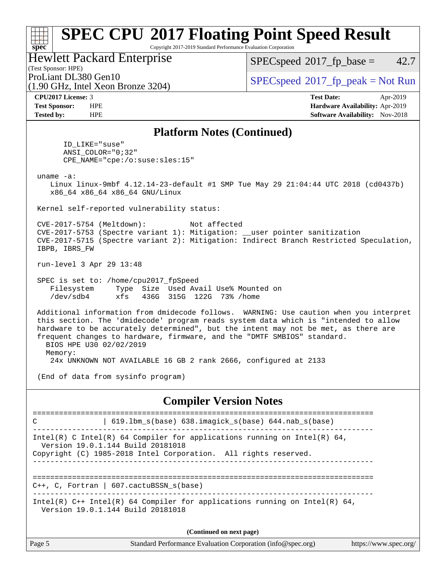Copyright 2017-2019 Standard Performance Evaluation Corporation

#### Hewlett Packard Enterprise

(1.90 GHz, Intel Xeon Bronze 3204)

 $SPECspeed^{\circledcirc}2017_fp\_base = 42.7$  $SPECspeed^{\circledcirc}2017_fp\_base = 42.7$ 

(Test Sponsor: HPE)

ProLiant DL380 Gen10  $SPECspeed^{\circ}2017\_fp\_peak = Not Run$  $SPECspeed^{\circ}2017\_fp\_peak = Not Run$ 

**[spec](http://www.spec.org/)**

**[CPU2017 License:](http://www.spec.org/auto/cpu2017/Docs/result-fields.html#CPU2017License)** 3 **[Test Date:](http://www.spec.org/auto/cpu2017/Docs/result-fields.html#TestDate)** Apr-2019 **[Test Sponsor:](http://www.spec.org/auto/cpu2017/Docs/result-fields.html#TestSponsor)** HPE **[Hardware Availability:](http://www.spec.org/auto/cpu2017/Docs/result-fields.html#HardwareAvailability)** Apr-2019 **[Tested by:](http://www.spec.org/auto/cpu2017/Docs/result-fields.html#Testedby)** HPE **HPE [Software Availability:](http://www.spec.org/auto/cpu2017/Docs/result-fields.html#SoftwareAvailability)** Nov-2018

#### **[Platform Notes \(Continued\)](http://www.spec.org/auto/cpu2017/Docs/result-fields.html#PlatformNotes)**

 ID\_LIKE="suse" ANSI\_COLOR="0;32" CPE\_NAME="cpe:/o:suse:sles:15"

uname -a:

 Linux linux-9mbf 4.12.14-23-default #1 SMP Tue May 29 21:04:44 UTC 2018 (cd0437b) x86\_64 x86\_64 x86\_64 GNU/Linux

Kernel self-reported vulnerability status:

 CVE-2017-5754 (Meltdown): Not affected CVE-2017-5753 (Spectre variant 1): Mitigation: \_\_user pointer sanitization CVE-2017-5715 (Spectre variant 2): Mitigation: Indirect Branch Restricted Speculation, IBPB, IBRS\_FW

run-level 3 Apr 29 13:48

 SPEC is set to: /home/cpu2017\_fpSpeed Filesystem Type Size Used Avail Use% Mounted on /dev/sdb4 xfs 436G 315G 122G 73% /home

 Additional information from dmidecode follows. WARNING: Use caution when you interpret this section. The 'dmidecode' program reads system data which is "intended to allow hardware to be accurately determined", but the intent may not be met, as there are frequent changes to hardware, firmware, and the "DMTF SMBIOS" standard. BIOS HPE U30 02/02/2019 Memory: 24x UNKNOWN NOT AVAILABLE 16 GB 2 rank 2666, configured at 2133

(End of data from sysinfo program)

#### **[Compiler Version Notes](http://www.spec.org/auto/cpu2017/Docs/result-fields.html#CompilerVersionNotes)**

============================================================================== C | 619.lbm\_s(base) 638.imagick\_s(base) 644.nab\_s(base) ------------------------------------------------------------------------------ Intel(R) C Intel(R) 64 Compiler for applications running on Intel(R)  $64$ , Version 19.0.1.144 Build 20181018 Copyright (C) 1985-2018 Intel Corporation. All rights reserved. ------------------------------------------------------------------------------ ============================================================================== C++, C, Fortran | 607.cactuBSSN\_s(base) ------------------------------------------------------------------------------ Intel(R) C++ Intel(R) 64 Compiler for applications running on Intel(R) 64, Version 19.0.1.144 Build 20181018 **(Continued on next page)**

| Page 5<br>Standard Performance Evaluation Corporation (info@spec.org)<br>https://www.spec.org/ |
|------------------------------------------------------------------------------------------------|
|------------------------------------------------------------------------------------------------|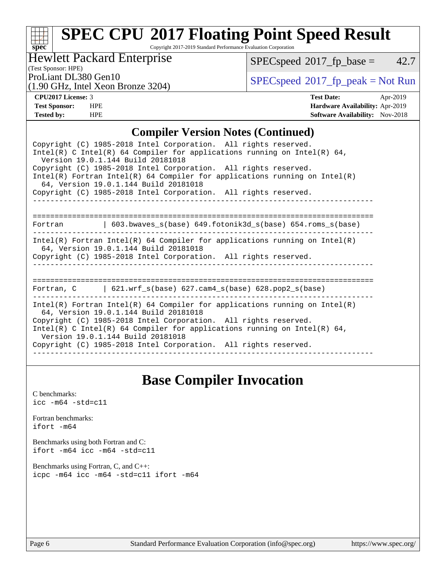# **[spec](http://www.spec.org/)**

# **[SPEC CPU](http://www.spec.org/auto/cpu2017/Docs/result-fields.html#SPECCPU2017FloatingPointSpeedResult)[2017 Floating Point Speed Result](http://www.spec.org/auto/cpu2017/Docs/result-fields.html#SPECCPU2017FloatingPointSpeedResult)**

Copyright 2017-2019 Standard Performance Evaluation Corporation

### Hewlett Packard Enterprise

 $SPECspeed*2017_fp\_base = 42.7$  $SPECspeed*2017_fp\_base = 42.7$ 

## (Test Sponsor: HPE)

(1.90 GHz, Intel Xeon Bronze 3204)

ProLiant DL380 Gen10<br>(1.00 GHz, Intel Yogn Bronze 3204) [SPECspeed](http://www.spec.org/auto/cpu2017/Docs/result-fields.html#SPECspeed2017fppeak)®[2017\\_fp\\_peak = N](http://www.spec.org/auto/cpu2017/Docs/result-fields.html#SPECspeed2017fppeak)ot Run

**[CPU2017 License:](http://www.spec.org/auto/cpu2017/Docs/result-fields.html#CPU2017License)** 3 **[Test Date:](http://www.spec.org/auto/cpu2017/Docs/result-fields.html#TestDate)** Apr-2019 **[Test Sponsor:](http://www.spec.org/auto/cpu2017/Docs/result-fields.html#TestSponsor)** HPE **[Hardware Availability:](http://www.spec.org/auto/cpu2017/Docs/result-fields.html#HardwareAvailability)** Apr-2019 **[Tested by:](http://www.spec.org/auto/cpu2017/Docs/result-fields.html#Testedby)** HPE **HPE [Software Availability:](http://www.spec.org/auto/cpu2017/Docs/result-fields.html#SoftwareAvailability)** Nov-2018

#### **[Compiler Version Notes \(Continued\)](http://www.spec.org/auto/cpu2017/Docs/result-fields.html#CompilerVersionNotes)**

| Copyright (C) 1985-2018 Intel Corporation. All rights reserved.<br>Intel(R) C Intel(R) 64 Compiler for applications running on Intel(R) 64,<br>Version 19.0.1.144 Build 20181018<br>Copyright (C) 1985-2018 Intel Corporation. All rights reserved.<br>$Intel(R)$ Fortran Intel(R) 64 Compiler for applications running on Intel(R)<br>64, Version 19.0.1.144 Build 20181018<br>Copyright (C) 1985-2018 Intel Corporation. All rights reserved. |
|-------------------------------------------------------------------------------------------------------------------------------------------------------------------------------------------------------------------------------------------------------------------------------------------------------------------------------------------------------------------------------------------------------------------------------------------------|
|                                                                                                                                                                                                                                                                                                                                                                                                                                                 |
| Fortran $(603.bwaves s(base) 649.fotonik3d s(base) 654.roms s(base)$                                                                                                                                                                                                                                                                                                                                                                            |
| Intel(R) Fortran Intel(R) 64 Compiler for applications running on Intel(R)<br>64, Version 19.0.1.144 Build 20181018<br>Copyright (C) 1985-2018 Intel Corporation. All rights reserved.                                                                                                                                                                                                                                                          |
| =================================<br>=====================<br>Fortran, $C$   621.wrf_s(base) 627.cam4_s(base) 628.pop2_s(base)                                                                                                                                                                                                                                                                                                                  |
| Intel(R) Fortran Intel(R) 64 Compiler for applications running on Intel(R)<br>64, Version 19.0.1.144 Build 20181018<br>Copyright (C) 1985-2018 Intel Corporation. All rights reserved.<br>Intel(R) C Intel(R) 64 Compiler for applications running on Intel(R) 64,<br>Version 19.0.1.144 Build 20181018<br>Copyright (C) 1985-2018 Intel Corporation. All rights reserved.                                                                      |

## **[Base Compiler Invocation](http://www.spec.org/auto/cpu2017/Docs/result-fields.html#BaseCompilerInvocation)**

[C benchmarks](http://www.spec.org/auto/cpu2017/Docs/result-fields.html#Cbenchmarks): [icc -m64 -std=c11](http://www.spec.org/cpu2017/results/res2019q4/cpu2017-20190819-16822.flags.html#user_CCbase_intel_icc_64bit_c11_33ee0cdaae7deeeab2a9725423ba97205ce30f63b9926c2519791662299b76a0318f32ddfffdc46587804de3178b4f9328c46fa7c2b0cd779d7a61945c91cd35)

[Fortran benchmarks](http://www.spec.org/auto/cpu2017/Docs/result-fields.html#Fortranbenchmarks): [ifort -m64](http://www.spec.org/cpu2017/results/res2019q4/cpu2017-20190819-16822.flags.html#user_FCbase_intel_ifort_64bit_24f2bb282fbaeffd6157abe4f878425411749daecae9a33200eee2bee2fe76f3b89351d69a8130dd5949958ce389cf37ff59a95e7a40d588e8d3a57e0c3fd751)

[Benchmarks using both Fortran and C](http://www.spec.org/auto/cpu2017/Docs/result-fields.html#BenchmarksusingbothFortranandC): [ifort -m64](http://www.spec.org/cpu2017/results/res2019q4/cpu2017-20190819-16822.flags.html#user_CC_FCbase_intel_ifort_64bit_24f2bb282fbaeffd6157abe4f878425411749daecae9a33200eee2bee2fe76f3b89351d69a8130dd5949958ce389cf37ff59a95e7a40d588e8d3a57e0c3fd751) [icc -m64 -std=c11](http://www.spec.org/cpu2017/results/res2019q4/cpu2017-20190819-16822.flags.html#user_CC_FCbase_intel_icc_64bit_c11_33ee0cdaae7deeeab2a9725423ba97205ce30f63b9926c2519791662299b76a0318f32ddfffdc46587804de3178b4f9328c46fa7c2b0cd779d7a61945c91cd35)

[Benchmarks using Fortran, C, and C++:](http://www.spec.org/auto/cpu2017/Docs/result-fields.html#BenchmarksusingFortranCandCXX) [icpc -m64](http://www.spec.org/cpu2017/results/res2019q4/cpu2017-20190819-16822.flags.html#user_CC_CXX_FCbase_intel_icpc_64bit_4ecb2543ae3f1412ef961e0650ca070fec7b7afdcd6ed48761b84423119d1bf6bdf5cad15b44d48e7256388bc77273b966e5eb805aefd121eb22e9299b2ec9d9) [icc -m64 -std=c11](http://www.spec.org/cpu2017/results/res2019q4/cpu2017-20190819-16822.flags.html#user_CC_CXX_FCbase_intel_icc_64bit_c11_33ee0cdaae7deeeab2a9725423ba97205ce30f63b9926c2519791662299b76a0318f32ddfffdc46587804de3178b4f9328c46fa7c2b0cd779d7a61945c91cd35) [ifort -m64](http://www.spec.org/cpu2017/results/res2019q4/cpu2017-20190819-16822.flags.html#user_CC_CXX_FCbase_intel_ifort_64bit_24f2bb282fbaeffd6157abe4f878425411749daecae9a33200eee2bee2fe76f3b89351d69a8130dd5949958ce389cf37ff59a95e7a40d588e8d3a57e0c3fd751)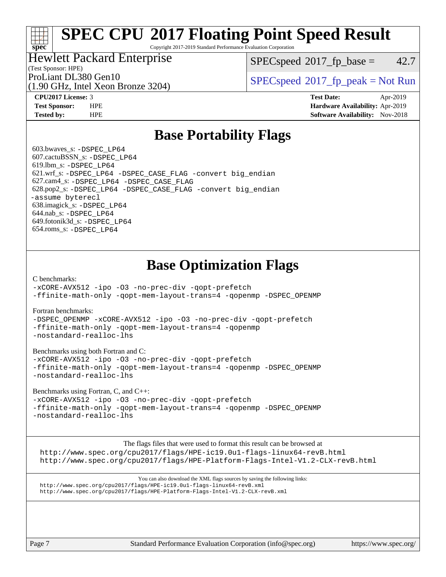Copyright 2017-2019 Standard Performance Evaluation Corporation

### Hewlett Packard Enterprise

 $SPECspeed^{\circ}2017\_fp\_base = 42.7$  $SPECspeed^{\circ}2017\_fp\_base = 42.7$ 

(Test Sponsor: HPE)

(1.90 GHz, Intel Xeon Bronze 3204)

ProLiant DL380 Gen10<br>(1.00 GHz, Intel Year Proper 2204) [SPECspeed](http://www.spec.org/auto/cpu2017/Docs/result-fields.html#SPECspeed2017fppeak)<sup>®</sup>[2017\\_fp\\_peak = N](http://www.spec.org/auto/cpu2017/Docs/result-fields.html#SPECspeed2017fppeak)ot Run

**[spec](http://www.spec.org/)**

**[CPU2017 License:](http://www.spec.org/auto/cpu2017/Docs/result-fields.html#CPU2017License)** 3 **[Test Date:](http://www.spec.org/auto/cpu2017/Docs/result-fields.html#TestDate)** Apr-2019 **[Test Sponsor:](http://www.spec.org/auto/cpu2017/Docs/result-fields.html#TestSponsor)** HPE **[Hardware Availability:](http://www.spec.org/auto/cpu2017/Docs/result-fields.html#HardwareAvailability)** Apr-2019 **[Tested by:](http://www.spec.org/auto/cpu2017/Docs/result-fields.html#Testedby)** HPE **[Software Availability:](http://www.spec.org/auto/cpu2017/Docs/result-fields.html#SoftwareAvailability)** Nov-2018

## **[Base Portability Flags](http://www.spec.org/auto/cpu2017/Docs/result-fields.html#BasePortabilityFlags)**

 603.bwaves\_s: [-DSPEC\\_LP64](http://www.spec.org/cpu2017/results/res2019q4/cpu2017-20190819-16822.flags.html#suite_basePORTABILITY603_bwaves_s_DSPEC_LP64) 607.cactuBSSN\_s: [-DSPEC\\_LP64](http://www.spec.org/cpu2017/results/res2019q4/cpu2017-20190819-16822.flags.html#suite_basePORTABILITY607_cactuBSSN_s_DSPEC_LP64) 619.lbm\_s: [-DSPEC\\_LP64](http://www.spec.org/cpu2017/results/res2019q4/cpu2017-20190819-16822.flags.html#suite_basePORTABILITY619_lbm_s_DSPEC_LP64) 621.wrf\_s: [-DSPEC\\_LP64](http://www.spec.org/cpu2017/results/res2019q4/cpu2017-20190819-16822.flags.html#suite_basePORTABILITY621_wrf_s_DSPEC_LP64) [-DSPEC\\_CASE\\_FLAG](http://www.spec.org/cpu2017/results/res2019q4/cpu2017-20190819-16822.flags.html#b621.wrf_s_baseCPORTABILITY_DSPEC_CASE_FLAG) [-convert big\\_endian](http://www.spec.org/cpu2017/results/res2019q4/cpu2017-20190819-16822.flags.html#user_baseFPORTABILITY621_wrf_s_convert_big_endian_c3194028bc08c63ac5d04de18c48ce6d347e4e562e8892b8bdbdc0214820426deb8554edfa529a3fb25a586e65a3d812c835984020483e7e73212c4d31a38223) 627.cam4\_s: [-DSPEC\\_LP64](http://www.spec.org/cpu2017/results/res2019q4/cpu2017-20190819-16822.flags.html#suite_basePORTABILITY627_cam4_s_DSPEC_LP64) [-DSPEC\\_CASE\\_FLAG](http://www.spec.org/cpu2017/results/res2019q4/cpu2017-20190819-16822.flags.html#b627.cam4_s_baseCPORTABILITY_DSPEC_CASE_FLAG) 628.pop2\_s: [-DSPEC\\_LP64](http://www.spec.org/cpu2017/results/res2019q4/cpu2017-20190819-16822.flags.html#suite_basePORTABILITY628_pop2_s_DSPEC_LP64) [-DSPEC\\_CASE\\_FLAG](http://www.spec.org/cpu2017/results/res2019q4/cpu2017-20190819-16822.flags.html#b628.pop2_s_baseCPORTABILITY_DSPEC_CASE_FLAG) [-convert big\\_endian](http://www.spec.org/cpu2017/results/res2019q4/cpu2017-20190819-16822.flags.html#user_baseFPORTABILITY628_pop2_s_convert_big_endian_c3194028bc08c63ac5d04de18c48ce6d347e4e562e8892b8bdbdc0214820426deb8554edfa529a3fb25a586e65a3d812c835984020483e7e73212c4d31a38223) [-assume byterecl](http://www.spec.org/cpu2017/results/res2019q4/cpu2017-20190819-16822.flags.html#user_baseFPORTABILITY628_pop2_s_assume_byterecl_7e47d18b9513cf18525430bbf0f2177aa9bf368bc7a059c09b2c06a34b53bd3447c950d3f8d6c70e3faf3a05c8557d66a5798b567902e8849adc142926523472) 638.imagick\_s: [-DSPEC\\_LP64](http://www.spec.org/cpu2017/results/res2019q4/cpu2017-20190819-16822.flags.html#suite_basePORTABILITY638_imagick_s_DSPEC_LP64) 644.nab\_s: [-DSPEC\\_LP64](http://www.spec.org/cpu2017/results/res2019q4/cpu2017-20190819-16822.flags.html#suite_basePORTABILITY644_nab_s_DSPEC_LP64) 649.fotonik3d\_s: [-DSPEC\\_LP64](http://www.spec.org/cpu2017/results/res2019q4/cpu2017-20190819-16822.flags.html#suite_basePORTABILITY649_fotonik3d_s_DSPEC_LP64) 654.roms\_s: [-DSPEC\\_LP64](http://www.spec.org/cpu2017/results/res2019q4/cpu2017-20190819-16822.flags.html#suite_basePORTABILITY654_roms_s_DSPEC_LP64)

## **[Base Optimization Flags](http://www.spec.org/auto/cpu2017/Docs/result-fields.html#BaseOptimizationFlags)**

[C benchmarks](http://www.spec.org/auto/cpu2017/Docs/result-fields.html#Cbenchmarks):

[-xCORE-AVX512](http://www.spec.org/cpu2017/results/res2019q4/cpu2017-20190819-16822.flags.html#user_CCbase_f-xCORE-AVX512) [-ipo](http://www.spec.org/cpu2017/results/res2019q4/cpu2017-20190819-16822.flags.html#user_CCbase_f-ipo) [-O3](http://www.spec.org/cpu2017/results/res2019q4/cpu2017-20190819-16822.flags.html#user_CCbase_f-O3) [-no-prec-div](http://www.spec.org/cpu2017/results/res2019q4/cpu2017-20190819-16822.flags.html#user_CCbase_f-no-prec-div) [-qopt-prefetch](http://www.spec.org/cpu2017/results/res2019q4/cpu2017-20190819-16822.flags.html#user_CCbase_f-qopt-prefetch) [-ffinite-math-only](http://www.spec.org/cpu2017/results/res2019q4/cpu2017-20190819-16822.flags.html#user_CCbase_f_finite_math_only_cb91587bd2077682c4b38af759c288ed7c732db004271a9512da14a4f8007909a5f1427ecbf1a0fb78ff2a814402c6114ac565ca162485bbcae155b5e4258871) [-qopt-mem-layout-trans=4](http://www.spec.org/cpu2017/results/res2019q4/cpu2017-20190819-16822.flags.html#user_CCbase_f-qopt-mem-layout-trans_fa39e755916c150a61361b7846f310bcdf6f04e385ef281cadf3647acec3f0ae266d1a1d22d972a7087a248fd4e6ca390a3634700869573d231a252c784941a8) [-qopenmp](http://www.spec.org/cpu2017/results/res2019q4/cpu2017-20190819-16822.flags.html#user_CCbase_qopenmp_16be0c44f24f464004c6784a7acb94aca937f053568ce72f94b139a11c7c168634a55f6653758ddd83bcf7b8463e8028bb0b48b77bcddc6b78d5d95bb1df2967) [-DSPEC\\_OPENMP](http://www.spec.org/cpu2017/results/res2019q4/cpu2017-20190819-16822.flags.html#suite_CCbase_DSPEC_OPENMP)

[Fortran benchmarks](http://www.spec.org/auto/cpu2017/Docs/result-fields.html#Fortranbenchmarks):

[-DSPEC\\_OPENMP](http://www.spec.org/cpu2017/results/res2019q4/cpu2017-20190819-16822.flags.html#suite_FCbase_DSPEC_OPENMP) [-xCORE-AVX512](http://www.spec.org/cpu2017/results/res2019q4/cpu2017-20190819-16822.flags.html#user_FCbase_f-xCORE-AVX512) [-ipo](http://www.spec.org/cpu2017/results/res2019q4/cpu2017-20190819-16822.flags.html#user_FCbase_f-ipo) [-O3](http://www.spec.org/cpu2017/results/res2019q4/cpu2017-20190819-16822.flags.html#user_FCbase_f-O3) [-no-prec-div](http://www.spec.org/cpu2017/results/res2019q4/cpu2017-20190819-16822.flags.html#user_FCbase_f-no-prec-div) [-qopt-prefetch](http://www.spec.org/cpu2017/results/res2019q4/cpu2017-20190819-16822.flags.html#user_FCbase_f-qopt-prefetch) [-ffinite-math-only](http://www.spec.org/cpu2017/results/res2019q4/cpu2017-20190819-16822.flags.html#user_FCbase_f_finite_math_only_cb91587bd2077682c4b38af759c288ed7c732db004271a9512da14a4f8007909a5f1427ecbf1a0fb78ff2a814402c6114ac565ca162485bbcae155b5e4258871) [-qopt-mem-layout-trans=4](http://www.spec.org/cpu2017/results/res2019q4/cpu2017-20190819-16822.flags.html#user_FCbase_f-qopt-mem-layout-trans_fa39e755916c150a61361b7846f310bcdf6f04e385ef281cadf3647acec3f0ae266d1a1d22d972a7087a248fd4e6ca390a3634700869573d231a252c784941a8) [-qopenmp](http://www.spec.org/cpu2017/results/res2019q4/cpu2017-20190819-16822.flags.html#user_FCbase_qopenmp_16be0c44f24f464004c6784a7acb94aca937f053568ce72f94b139a11c7c168634a55f6653758ddd83bcf7b8463e8028bb0b48b77bcddc6b78d5d95bb1df2967) [-nostandard-realloc-lhs](http://www.spec.org/cpu2017/results/res2019q4/cpu2017-20190819-16822.flags.html#user_FCbase_f_2003_std_realloc_82b4557e90729c0f113870c07e44d33d6f5a304b4f63d4c15d2d0f1fab99f5daaed73bdb9275d9ae411527f28b936061aa8b9c8f2d63842963b95c9dd6426b8a)

[Benchmarks using both Fortran and C](http://www.spec.org/auto/cpu2017/Docs/result-fields.html#BenchmarksusingbothFortranandC):

[-xCORE-AVX512](http://www.spec.org/cpu2017/results/res2019q4/cpu2017-20190819-16822.flags.html#user_CC_FCbase_f-xCORE-AVX512) [-ipo](http://www.spec.org/cpu2017/results/res2019q4/cpu2017-20190819-16822.flags.html#user_CC_FCbase_f-ipo) [-O3](http://www.spec.org/cpu2017/results/res2019q4/cpu2017-20190819-16822.flags.html#user_CC_FCbase_f-O3) [-no-prec-div](http://www.spec.org/cpu2017/results/res2019q4/cpu2017-20190819-16822.flags.html#user_CC_FCbase_f-no-prec-div) [-qopt-prefetch](http://www.spec.org/cpu2017/results/res2019q4/cpu2017-20190819-16822.flags.html#user_CC_FCbase_f-qopt-prefetch) [-ffinite-math-only](http://www.spec.org/cpu2017/results/res2019q4/cpu2017-20190819-16822.flags.html#user_CC_FCbase_f_finite_math_only_cb91587bd2077682c4b38af759c288ed7c732db004271a9512da14a4f8007909a5f1427ecbf1a0fb78ff2a814402c6114ac565ca162485bbcae155b5e4258871) [-qopt-mem-layout-trans=4](http://www.spec.org/cpu2017/results/res2019q4/cpu2017-20190819-16822.flags.html#user_CC_FCbase_f-qopt-mem-layout-trans_fa39e755916c150a61361b7846f310bcdf6f04e385ef281cadf3647acec3f0ae266d1a1d22d972a7087a248fd4e6ca390a3634700869573d231a252c784941a8) [-qopenmp](http://www.spec.org/cpu2017/results/res2019q4/cpu2017-20190819-16822.flags.html#user_CC_FCbase_qopenmp_16be0c44f24f464004c6784a7acb94aca937f053568ce72f94b139a11c7c168634a55f6653758ddd83bcf7b8463e8028bb0b48b77bcddc6b78d5d95bb1df2967) [-DSPEC\\_OPENMP](http://www.spec.org/cpu2017/results/res2019q4/cpu2017-20190819-16822.flags.html#suite_CC_FCbase_DSPEC_OPENMP) [-nostandard-realloc-lhs](http://www.spec.org/cpu2017/results/res2019q4/cpu2017-20190819-16822.flags.html#user_CC_FCbase_f_2003_std_realloc_82b4557e90729c0f113870c07e44d33d6f5a304b4f63d4c15d2d0f1fab99f5daaed73bdb9275d9ae411527f28b936061aa8b9c8f2d63842963b95c9dd6426b8a)

[Benchmarks using Fortran, C, and C++:](http://www.spec.org/auto/cpu2017/Docs/result-fields.html#BenchmarksusingFortranCandCXX)

[-xCORE-AVX512](http://www.spec.org/cpu2017/results/res2019q4/cpu2017-20190819-16822.flags.html#user_CC_CXX_FCbase_f-xCORE-AVX512) [-ipo](http://www.spec.org/cpu2017/results/res2019q4/cpu2017-20190819-16822.flags.html#user_CC_CXX_FCbase_f-ipo) [-O3](http://www.spec.org/cpu2017/results/res2019q4/cpu2017-20190819-16822.flags.html#user_CC_CXX_FCbase_f-O3) [-no-prec-div](http://www.spec.org/cpu2017/results/res2019q4/cpu2017-20190819-16822.flags.html#user_CC_CXX_FCbase_f-no-prec-div) [-qopt-prefetch](http://www.spec.org/cpu2017/results/res2019q4/cpu2017-20190819-16822.flags.html#user_CC_CXX_FCbase_f-qopt-prefetch) [-ffinite-math-only](http://www.spec.org/cpu2017/results/res2019q4/cpu2017-20190819-16822.flags.html#user_CC_CXX_FCbase_f_finite_math_only_cb91587bd2077682c4b38af759c288ed7c732db004271a9512da14a4f8007909a5f1427ecbf1a0fb78ff2a814402c6114ac565ca162485bbcae155b5e4258871) [-qopt-mem-layout-trans=4](http://www.spec.org/cpu2017/results/res2019q4/cpu2017-20190819-16822.flags.html#user_CC_CXX_FCbase_f-qopt-mem-layout-trans_fa39e755916c150a61361b7846f310bcdf6f04e385ef281cadf3647acec3f0ae266d1a1d22d972a7087a248fd4e6ca390a3634700869573d231a252c784941a8) [-qopenmp](http://www.spec.org/cpu2017/results/res2019q4/cpu2017-20190819-16822.flags.html#user_CC_CXX_FCbase_qopenmp_16be0c44f24f464004c6784a7acb94aca937f053568ce72f94b139a11c7c168634a55f6653758ddd83bcf7b8463e8028bb0b48b77bcddc6b78d5d95bb1df2967) [-DSPEC\\_OPENMP](http://www.spec.org/cpu2017/results/res2019q4/cpu2017-20190819-16822.flags.html#suite_CC_CXX_FCbase_DSPEC_OPENMP) [-nostandard-realloc-lhs](http://www.spec.org/cpu2017/results/res2019q4/cpu2017-20190819-16822.flags.html#user_CC_CXX_FCbase_f_2003_std_realloc_82b4557e90729c0f113870c07e44d33d6f5a304b4f63d4c15d2d0f1fab99f5daaed73bdb9275d9ae411527f28b936061aa8b9c8f2d63842963b95c9dd6426b8a)

[The flags files that were used to format this result can be browsed at](tmsearch)

<http://www.spec.org/cpu2017/flags/HPE-ic19.0u1-flags-linux64-revB.html> <http://www.spec.org/cpu2017/flags/HPE-Platform-Flags-Intel-V1.2-CLX-revB.html>

[You can also download the XML flags sources by saving the following links:](tmsearch) <http://www.spec.org/cpu2017/flags/HPE-ic19.0u1-flags-linux64-revB.xml> <http://www.spec.org/cpu2017/flags/HPE-Platform-Flags-Intel-V1.2-CLX-revB.xml>